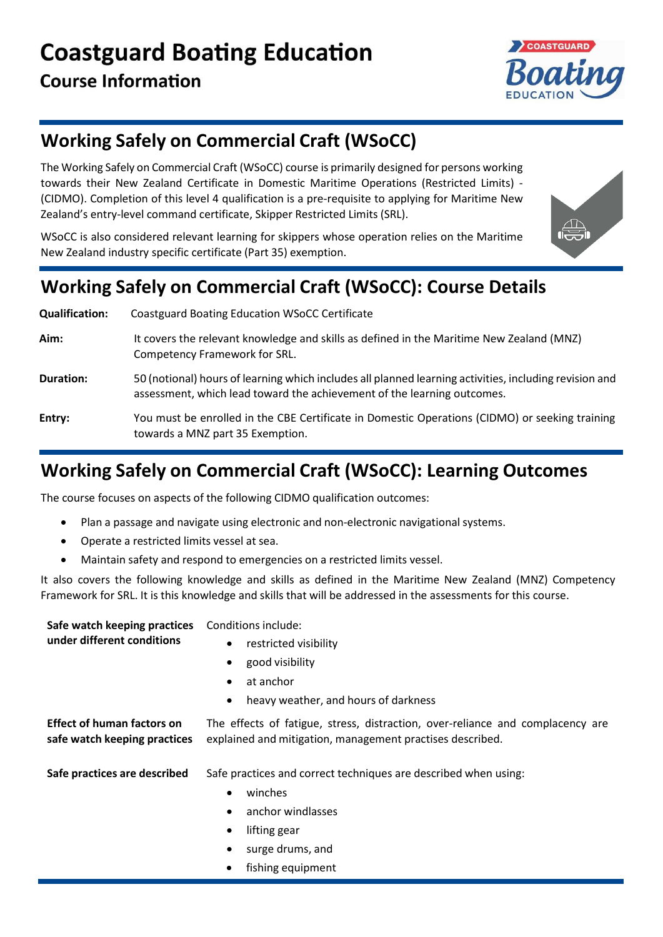

# **Working Safely on Commercial Craft (WSoCC)**

The Working Safely on Commercial Craft (WSoCC) course is primarily designed for persons working towards their New Zealand Certificate in Domestic Maritime Operations (Restricted Limits) - (CIDMO). Completion of this level 4 qualification is a pre-requisite to applying for Maritime New Zealand's entry-level command certificate, Skipper Restricted Limits (SRL).

WSoCC is also considered relevant learning for skippers whose operation relies on the Maritime New Zealand industry specific certificate (Part 35) exemption.



# **Working Safely on Commercial Craft (WSoCC): Course Details**

**Qualification:** Coastguard Boating Education WSoCC Certificate **Aim:** It covers the relevant knowledge and skills as defined in the Maritime New Zealand (MNZ) Competency Framework for SRL. **Duration:** 50 (notional) hours of learning which includes all planned learning activities, including revision and assessment, which lead toward the achievement of the learning outcomes. **Entry:** You must be enrolled in the CBE Certificate in Domestic Operations (CIDMO) or seeking training towards a MNZ part 35 Exemption.

# **Working Safely on Commercial Craft (WSoCC): Learning Outcomes**

The course focuses on aspects of the following CIDMO qualification outcomes:

- Plan a passage and navigate using electronic and non-electronic navigational systems.
- Operate a restricted limits vessel at sea.
- Maintain safety and respond to emergencies on a restricted limits vessel.

It also covers the following knowledge and skills as defined in the Maritime New Zealand (MNZ) Competency Framework for SRL. It is this knowledge and skills that will be addressed in the assessments for this course.

| Safe watch keeping practices<br>under different conditions        | Conditions include:                                                                                                                         |
|-------------------------------------------------------------------|---------------------------------------------------------------------------------------------------------------------------------------------|
|                                                                   | restricted visibility<br>$\bullet$                                                                                                          |
|                                                                   | good visibility                                                                                                                             |
|                                                                   | at anchor<br>$\bullet$                                                                                                                      |
|                                                                   | heavy weather, and hours of darkness                                                                                                        |
| <b>Effect of human factors on</b><br>safe watch keeping practices | The effects of fatigue, stress, distraction, over-reliance and complacency are<br>explained and mitigation, management practises described. |
| Safe practices are described                                      | Safe practices and correct techniques are described when using:                                                                             |
|                                                                   | winches                                                                                                                                     |
|                                                                   | anchor windlasses                                                                                                                           |
|                                                                   | lifting gear<br>$\bullet$                                                                                                                   |
|                                                                   | surge drums, and<br>$\bullet$                                                                                                               |
|                                                                   | fishing equipment                                                                                                                           |